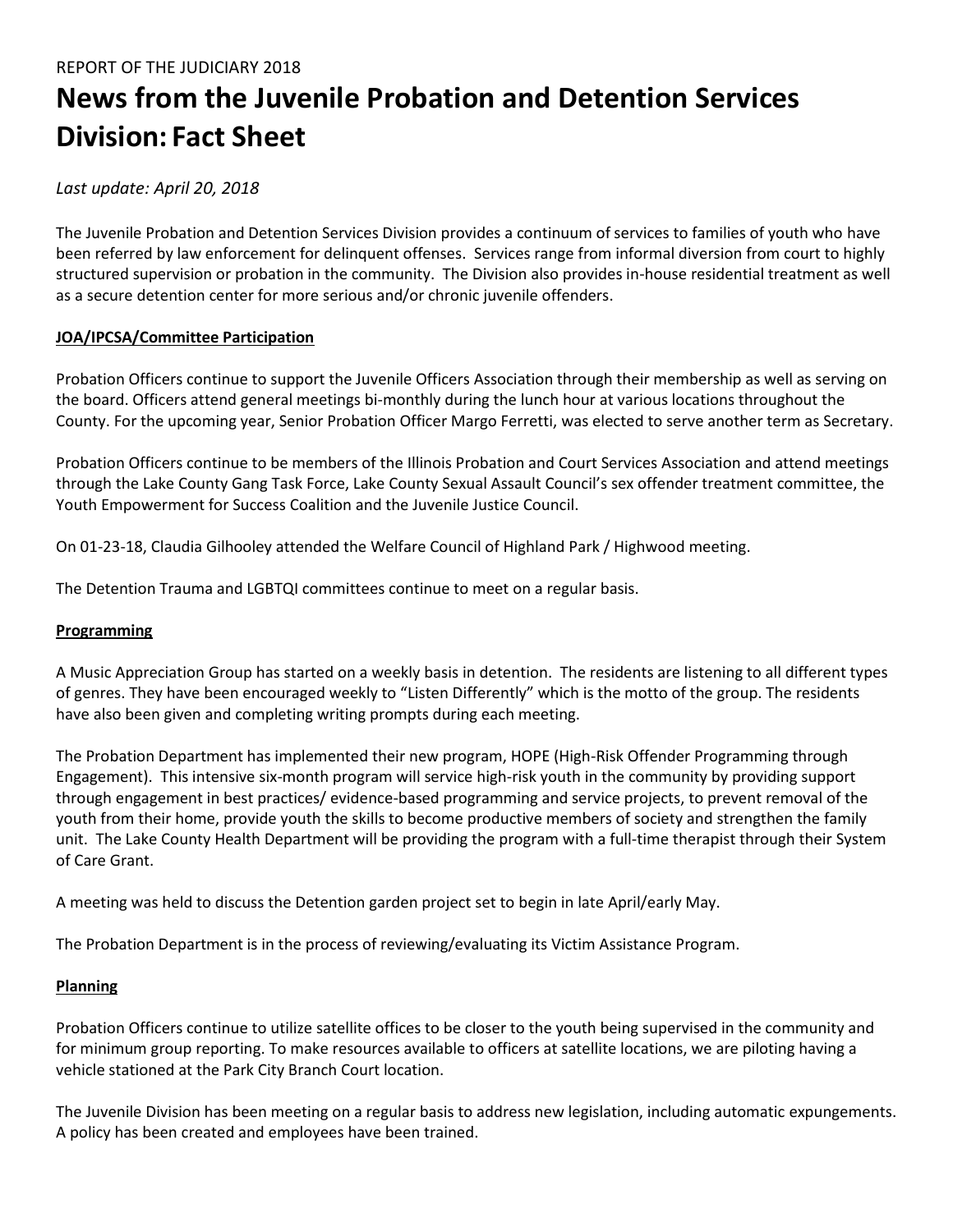# **News from the Juvenile Probation and Detention Services Division: Fact Sheet**

# *Last update: April 20, 2018*

The Juvenile Probation and Detention Services Division provides a continuum of services to families of youth who have been referred by law enforcement for delinquent offenses. Services range from informal diversion from court to highly structured supervision or probation in the community. The Division also provides in-house residential treatment as well as a secure detention center for more serious and/or chronic juvenile offenders.

# **JOA/IPCSA/Committee Participation**

Probation Officers continue to support the Juvenile Officers Association through their membership as well as serving on the board. Officers attend general meetings bi-monthly during the lunch hour at various locations throughout the County. For the upcoming year, Senior Probation Officer Margo Ferretti, was elected to serve another term as Secretary.

Probation Officers continue to be members of the Illinois Probation and Court Services Association and attend meetings through the Lake County Gang Task Force, Lake County Sexual Assault Council's sex offender treatment committee, the Youth Empowerment for Success Coalition and the Juvenile Justice Council.

On 01-23-18, Claudia Gilhooley attended the Welfare Council of Highland Park / Highwood meeting.

The Detention Trauma and LGBTQI committees continue to meet on a regular basis.

## **Programming**

A Music Appreciation Group has started on a weekly basis in detention. The residents are listening to all different types of genres. They have been encouraged weekly to "Listen Differently" which is the motto of the group. The residents have also been given and completing writing prompts during each meeting.

The Probation Department has implemented their new program, HOPE (High-Risk Offender Programming through Engagement). This intensive six-month program will service high-risk youth in the community by providing support through engagement in best practices/ evidence-based programming and service projects, to prevent removal of the youth from their home, provide youth the skills to become productive members of society and strengthen the family unit. The Lake County Health Department will be providing the program with a full-time therapist through their System of Care Grant.

A meeting was held to discuss the Detention garden project set to begin in late April/early May.

The Probation Department is in the process of reviewing/evaluating its Victim Assistance Program.

## **Planning**

Probation Officers continue to utilize satellite offices to be closer to the youth being supervised in the community and for minimum group reporting. To make resources available to officers at satellite locations, we are piloting having a vehicle stationed at the Park City Branch Court location.

The Juvenile Division has been meeting on a regular basis to address new legislation, including automatic expungements. A policy has been created and employees have been trained.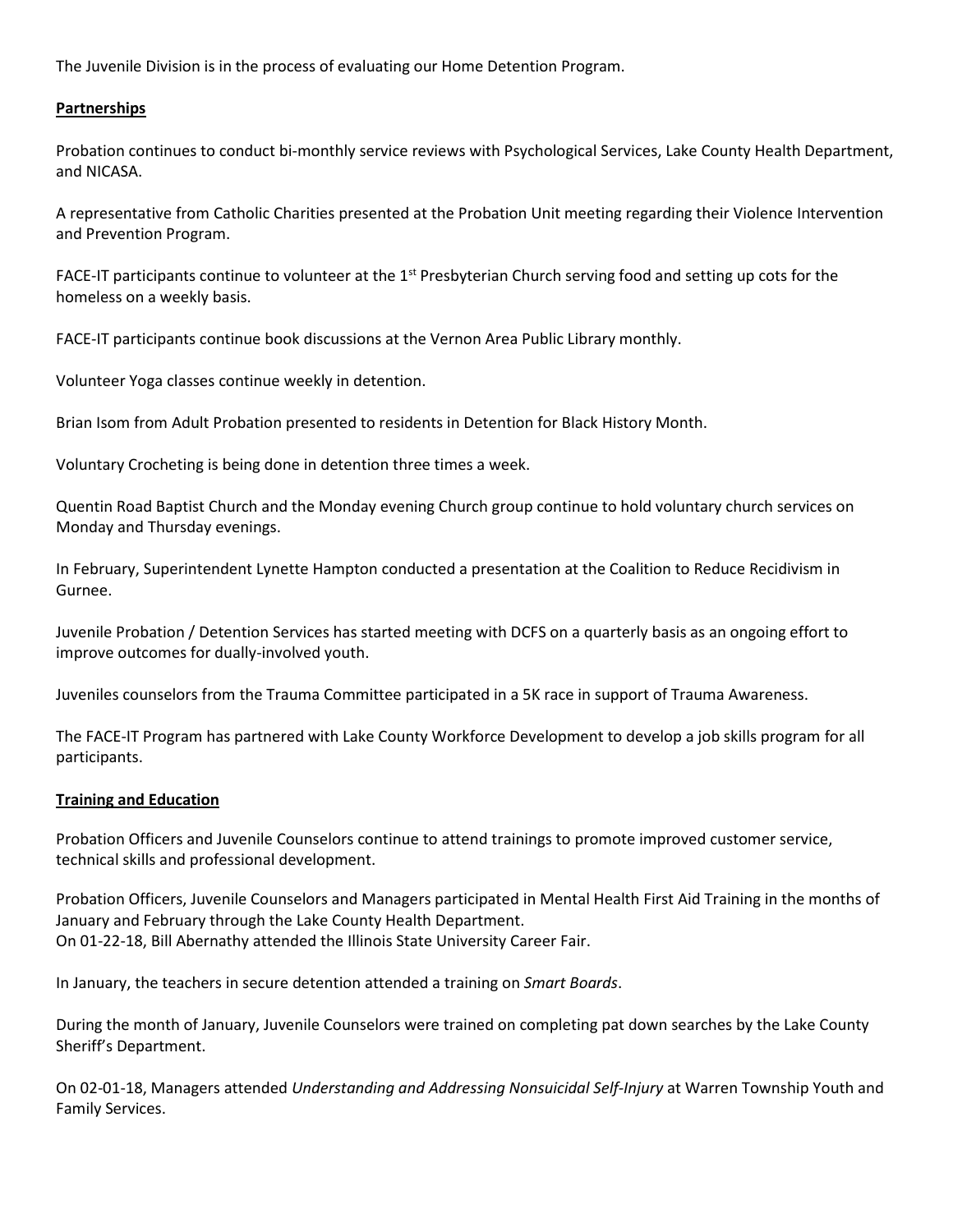The Juvenile Division is in the process of evaluating our Home Detention Program.

#### **Partnerships**

Probation continues to conduct bi-monthly service reviews with Psychological Services, Lake County Health Department, and NICASA.

A representative from Catholic Charities presented at the Probation Unit meeting regarding their Violence Intervention and Prevention Program.

FACE-IT participants continue to volunteer at the  $1<sup>st</sup>$  Presbyterian Church serving food and setting up cots for the homeless on a weekly basis.

FACE-IT participants continue book discussions at the Vernon Area Public Library monthly.

Volunteer Yoga classes continue weekly in detention.

Brian Isom from Adult Probation presented to residents in Detention for Black History Month.

Voluntary Crocheting is being done in detention three times a week.

Quentin Road Baptist Church and the Monday evening Church group continue to hold voluntary church services on Monday and Thursday evenings.

In February, Superintendent Lynette Hampton conducted a presentation at the Coalition to Reduce Recidivism in Gurnee.

Juvenile Probation / Detention Services has started meeting with DCFS on a quarterly basis as an ongoing effort to improve outcomes for dually-involved youth.

Juveniles counselors from the Trauma Committee participated in a 5K race in support of Trauma Awareness.

The FACE-IT Program has partnered with Lake County Workforce Development to develop a job skills program for all participants.

#### **Training and Education**

Probation Officers and Juvenile Counselors continue to attend trainings to promote improved customer service, technical skills and professional development.

Probation Officers, Juvenile Counselors and Managers participated in Mental Health First Aid Training in the months of January and February through the Lake County Health Department. On 01-22-18, Bill Abernathy attended the Illinois State University Career Fair.

In January, the teachers in secure detention attended a training on *Smart Boards*.

During the month of January, Juvenile Counselors were trained on completing pat down searches by the Lake County Sheriff's Department.

On 02-01-18, Managers attended *Understanding and Addressing Nonsuicidal Self-Injury* at Warren Township Youth and Family Services.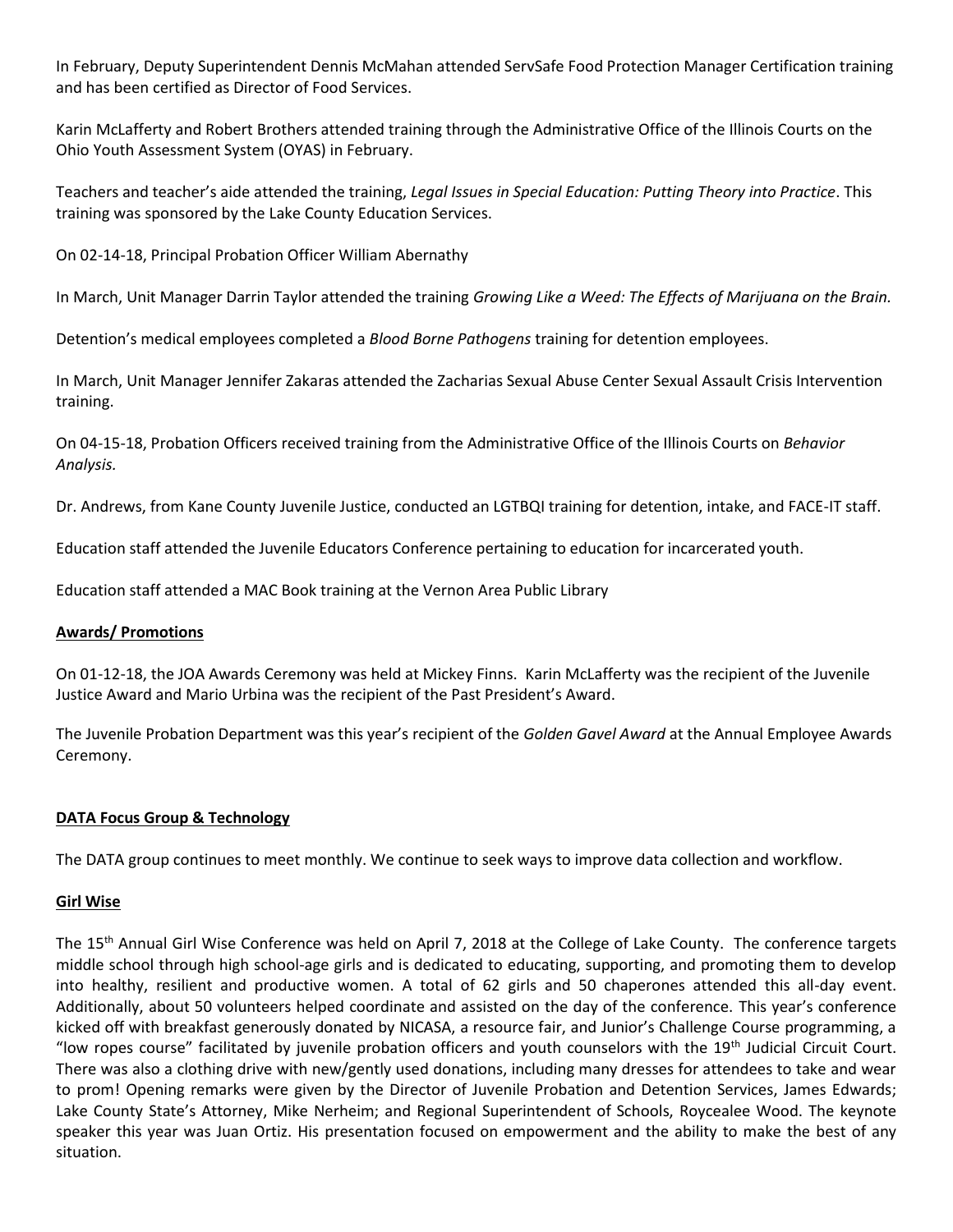In February, Deputy Superintendent Dennis McMahan attended ServSafe Food Protection Manager Certification training and has been certified as Director of Food Services.

Karin McLafferty and Robert Brothers attended training through the Administrative Office of the Illinois Courts on the Ohio Youth Assessment System (OYAS) in February.

Teachers and teacher's aide attended the training, *Legal Issues in Special Education: Putting Theory into Practice*. This training was sponsored by the Lake County Education Services.

On 02-14-18, Principal Probation Officer William Abernathy

In March, Unit Manager Darrin Taylor attended the training *Growing Like a Weed: The Effects of Marijuana on the Brain.*

Detention's medical employees completed a *Blood Borne Pathogens* training for detention employees.

In March, Unit Manager Jennifer Zakaras attended the Zacharias Sexual Abuse Center Sexual Assault Crisis Intervention training.

On 04-15-18, Probation Officers received training from the Administrative Office of the Illinois Courts on *Behavior Analysis.* 

Dr. Andrews, from Kane County Juvenile Justice, conducted an LGTBQI training for detention, intake, and FACE-IT staff.

Education staff attended the Juvenile Educators Conference pertaining to education for incarcerated youth.

Education staff attended a MAC Book training at the Vernon Area Public Library

## **Awards/ Promotions**

On 01-12-18, the JOA Awards Ceremony was held at Mickey Finns. Karin McLafferty was the recipient of the Juvenile Justice Award and Mario Urbina was the recipient of the Past President's Award.

The Juvenile Probation Department was this year's recipient of the *Golden Gavel Award* at the Annual Employee Awards Ceremony.

## **DATA Focus Group & Technology**

The DATA group continues to meet monthly. We continue to seek ways to improve data collection and workflow.

## **Girl Wise**

The 15<sup>th</sup> Annual Girl Wise Conference was held on April 7, 2018 at the College of Lake County. The conference targets middle school through high school-age girls and is dedicated to educating, supporting, and promoting them to develop into healthy, resilient and productive women. A total of 62 girls and 50 chaperones attended this all-day event. Additionally, about 50 volunteers helped coordinate and assisted on the day of the conference. This year's conference kicked off with breakfast generously donated by NICASA, a resource fair, and Junior's Challenge Course programming, a "low ropes course" facilitated by juvenile probation officers and youth counselors with the  $19<sup>th</sup>$  Judicial Circuit Court. There was also a clothing drive with new/gently used donations, including many dresses for attendees to take and wear to prom! Opening remarks were given by the Director of Juvenile Probation and Detention Services, James Edwards; Lake County State's Attorney, Mike Nerheim; and Regional Superintendent of Schools, Roycealee Wood. The keynote speaker this year was Juan Ortiz. His presentation focused on empowerment and the ability to make the best of any situation.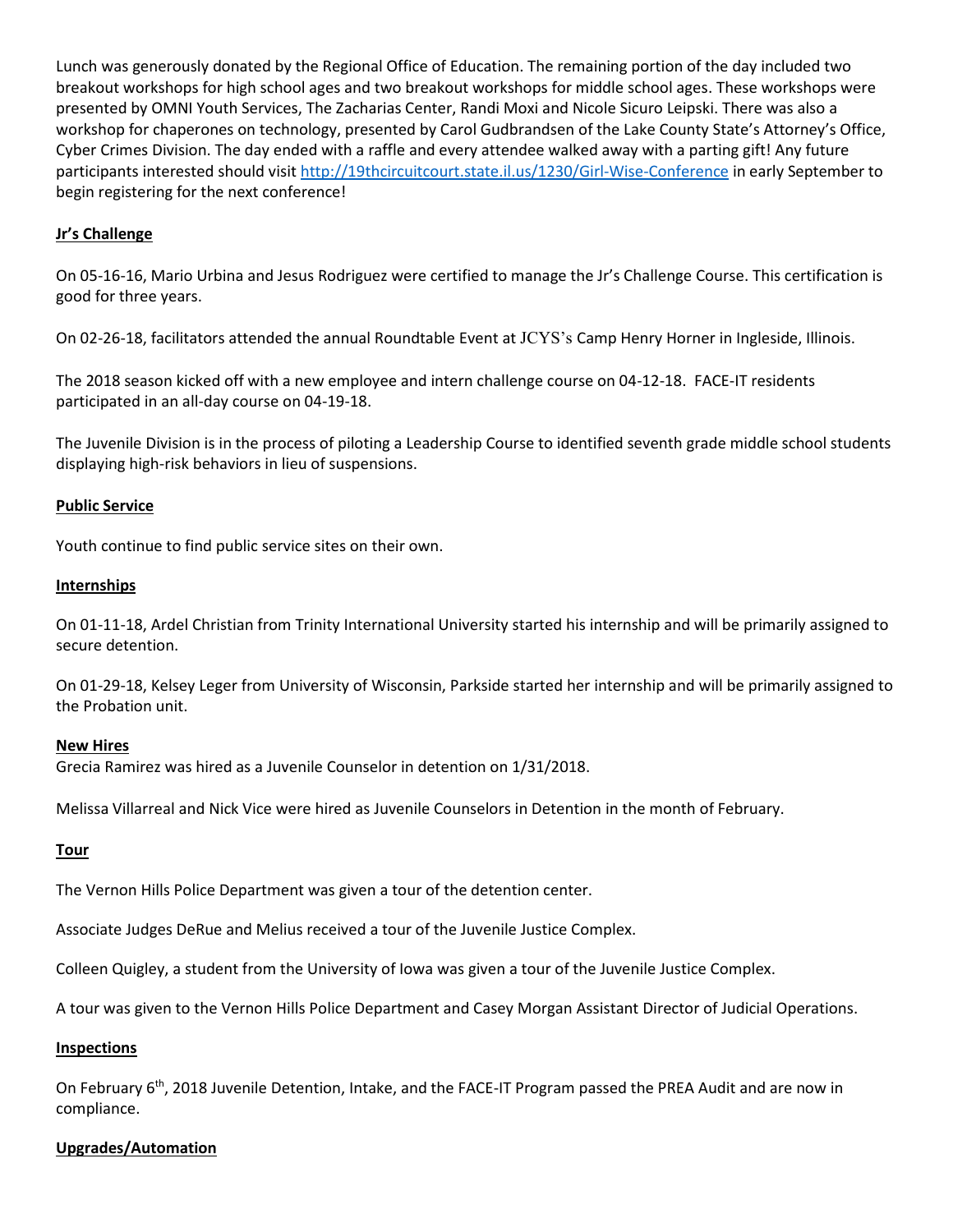Lunch was generously donated by the Regional Office of Education. The remaining portion of the day included two breakout workshops for high school ages and two breakout workshops for middle school ages. These workshops were presented by OMNI Youth Services, The Zacharias Center, Randi Moxi and Nicole Sicuro Leipski. There was also a workshop for chaperones on technology, presented by Carol Gudbrandsen of the Lake County State's Attorney's Office, Cyber Crimes Division. The day ended with a raffle and every attendee walked away with a parting gift! Any future participants interested should visit<http://19thcircuitcourt.state.il.us/1230/Girl-Wise-Conference> in early September to begin registering for the next conference!

## **Jr's Challenge**

On 05-16-16, Mario Urbina and Jesus Rodriguez were certified to manage the Jr's Challenge Course. This certification is good for three years.

On 02-26-18, facilitators attended the annual Roundtable Event at JCYS's Camp Henry Horner in Ingleside, Illinois.

The 2018 season kicked off with a new employee and intern challenge course on 04-12-18. FACE-IT residents participated in an all-day course on 04-19-18.

The Juvenile Division is in the process of piloting a Leadership Course to identified seventh grade middle school students displaying high-risk behaviors in lieu of suspensions.

## **Public Service**

Youth continue to find public service sites on their own.

#### **Internships**

On 01-11-18, Ardel Christian from Trinity International University started his internship and will be primarily assigned to secure detention.

On 01-29-18, Kelsey Leger from University of Wisconsin, Parkside started her internship and will be primarily assigned to the Probation unit.

#### **New Hires**

Grecia Ramirez was hired as a Juvenile Counselor in detention on 1/31/2018.

Melissa Villarreal and Nick Vice were hired as Juvenile Counselors in Detention in the month of February.

## **Tour**

The Vernon Hills Police Department was given a tour of the detention center.

Associate Judges DeRue and Melius received a tour of the Juvenile Justice Complex.

Colleen Quigley, a student from the University of Iowa was given a tour of the Juvenile Justice Complex.

A tour was given to the Vernon Hills Police Department and Casey Morgan Assistant Director of Judicial Operations.

#### **Inspections**

On February 6th, 2018 Juvenile Detention, Intake, and the FACE-IT Program passed the PREA Audit and are now in compliance.

## **Upgrades/Automation**